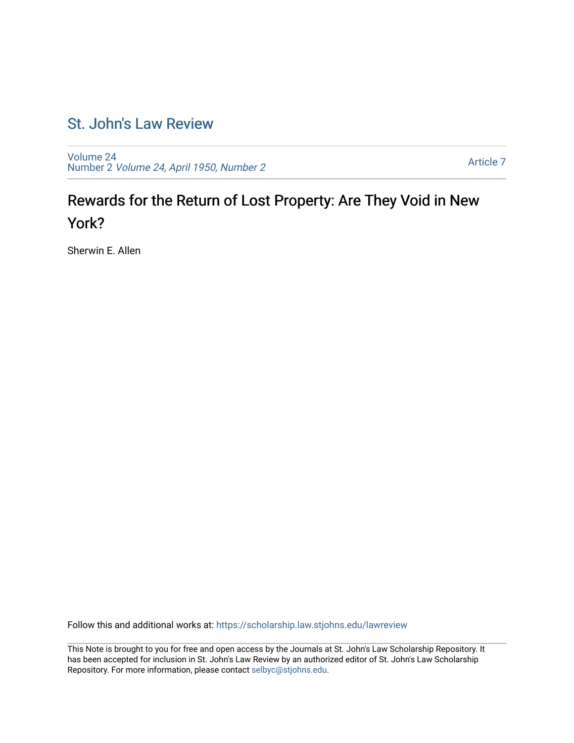## [St. John's Law Review](https://scholarship.law.stjohns.edu/lawreview)

[Volume 24](https://scholarship.law.stjohns.edu/lawreview/vol24) Number 2 [Volume 24, April 1950, Number 2](https://scholarship.law.stjohns.edu/lawreview/vol24/iss2) 

[Article 7](https://scholarship.law.stjohns.edu/lawreview/vol24/iss2/7) 

# Rewards for the Return of Lost Property: Are They Void in New York?

Sherwin E. Allen

Follow this and additional works at: [https://scholarship.law.stjohns.edu/lawreview](https://scholarship.law.stjohns.edu/lawreview?utm_source=scholarship.law.stjohns.edu%2Flawreview%2Fvol24%2Fiss2%2F7&utm_medium=PDF&utm_campaign=PDFCoverPages) 

This Note is brought to you for free and open access by the Journals at St. John's Law Scholarship Repository. It has been accepted for inclusion in St. John's Law Review by an authorized editor of St. John's Law Scholarship Repository. For more information, please contact [selbyc@stjohns.edu.](mailto:selbyc@stjohns.edu)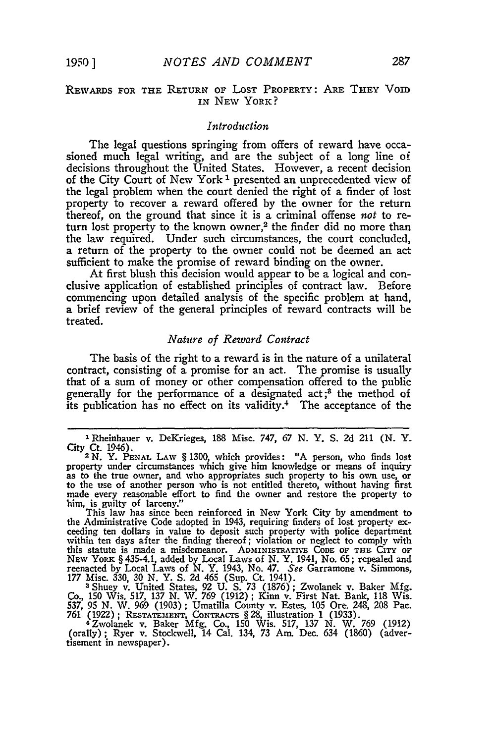## **REwARDs** FOR **THE** RETURN OF LOST PROPERTY: ARE THEY VoiD IN **NEW** YORK?

#### *Introduction*

The legal questions springing from offers of reward have occasioned much legal writing, and are the subject of a long line of decisions throughout the United States. However, a recent decision of the City Court of New York 1 presented an unprecedented view of the legal problem when the court denied the right of a finder of lost property to recover a reward offered **by** the owner for the return thereof, on the ground that since it is a criminal offense *not* to return lost property to the known owner,<sup>2</sup> the finder did no more than the law required. Under such circumstances, the court concluded, a return of the property to the owner could not be deemed an act sufficient to make the promise of reward binding on the owner.

At first blush this decision would appear to be a logical and conclusive application of established principles of contract law. Before commencing upon detailed analysis of the specific problem at hand, a brief review of the general principles of reward contracts will be treated.

### *Nature of Reward Contract*

The basis of the right to a reward is in the nature of a unilateral contract, consisting of a promise for an act. The promise is usually that of a sum of money or other compensation offered to the public generally for the performance of a designated  $act<sub>i</sub>$ <sup>3</sup> the method of its publication has no effect on its validity.4 The acceptance of the

177 Misc. 330, 30 N. Y. S. 2d 465 (Sup. Ct. 1941).<br>3 Shuey v. United States, 92 U. S. 73 (1876); Zwolanek v. Baker Mfg.<br>Co., 150 Wis. 517, 137 N. W. 769 (1912); Kinn v. First Nat. Bank, 118 Wis. 537, 95 N. W. 969 (1903); Umatilla County v. Estes, 105 Ore. 248, 208 Pac<br>761 (1922); RESTATEMENT, CONTRACTS § 28, illustration 1 (1933).<br>4 Zwolanek v. Baker Mfg. Co., 150 Wis. 517, 137 N. W. 769 (1912)

(orally); Ryer v. Stockwell, 14 Cal. 134, 73 Am. Dec. 634 (1860) (advertisement in newspaper).

**I** Rheinhauer v. DeKrieges, **188** Misc. 747, **67 N.** Y. **S. 2d** 211 **(N.** Y. City Ct. 1946). 2 N. Y. **PENAL** LAW § **1300,** which provides: **"A** person, who finds lost

property under circumstances which give him knowledge or means of inquiry<br>as to the true owner, and who appropriates such property to his own use, or<br>to the use of another person who is not entitled thereto, without having made every reasonable effort to find the owner and restore the property to

him, is guilty of larceny." This law has since been reinforced in New York City by amendment to the Administrative Code adopted in 1943, requiring finders of lost property exceeding ten dollars in value to deposit such property with police department within ten days after the finding thereof; violation or neglect to comply with this statute is made a misdemeanor. ADMINISTRATIVE CODE OF THE CITY OF NEW YORK § 435-4.1, added by Local Laws of N. Y. 1941, No. 65; repealed and reenacted by Local Laws of N. Y. 1943, No. 47. See Garramone v. Simmons,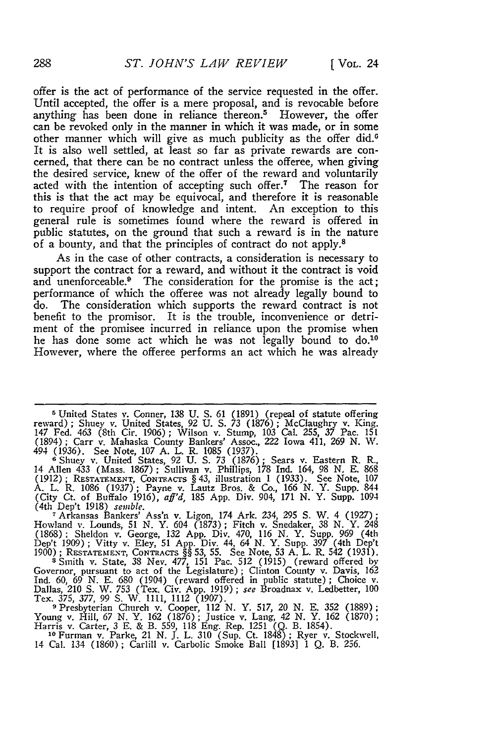offer is the act of performance of the service requested in the offer. Until accepted, the offer is a mere proposal, and is revocable before anything has been done in reliance thereon.<sup>5</sup> However, the offer can be revoked only in the manner in which it was made, or in some other manner which will give as much publicity as the offer did.<sup>6</sup> It is also well settled, at least so far as private rewards are concerned, that there can be no contract unless the offeree, when giving the desired service, knew of the offer of the reward and voluntarily acted with the intention of accepting such offer.<sup>7</sup> The reason for this is that the act may be equivocal, and therefore it is reasonable to require proof of knowledge and intent. An exception to this general rule is sometimes found where the reward is offered in public statutes, on the ground that such a reward is in the nature of a bounty, and that the principles of contract do not apply.8

As in the case of other contracts, a consideration is necessary to support the contract for a reward, and without it the contract is void and unenforceable.<sup>9</sup> The consideration for the promise is the act; performance of which the offeree was not already legally bound to do. The consideration which supports the reward contract is not benefit to the promisor. It is the trouble, inconvenience or detriment of the promisee incurred in reliance upon the promise when he has done some act which he was not legally bound to  $d_0$ .<sup>10</sup> However, where the offeree performs an act which he was already

<sup>5</sup> United States v. Conner, 138 U. S. 61 (1891) (repeal of statute offering reward); Shuey v. United States, 92 U. S. 73 (1876); McClaughry v. King.<br>147 Fed. 463 (8th Cir. 1906); Wilson v. Stump, 103 Cal. 255, 37 Pac. 151 (1894); Carr v. Mahaska County Bankers' Assoc., 222 Iowa 411, 269 N. W. 494 (1936). See Note, **107** A. L. R. 1085 (1937). **<sup>6</sup>**Shuey v. United States, 92 U. **S.** *73* (1876); Sears v. Eastern R. R.,

14 Allen 433 (Mass. 1867) **;** Sullivan v. Phillips, 178 Ind. 164, 98 N. E. 868 (1912); RESTATEMENT, **CoNTRACTS** § 43, illustration 1 (1933). See Note, **107** A. L. R. 1086 (1937); Payne v. Lautz Bros. & Co., 166 N. Y. Supp. 844 (City Ct. of Buffalo 1916), *aff'd,* 185 App. Div. 904, 171 N. Y. Supp. 1094

(4th Dep't 1918) *semble.*<br>
<sup>7</sup> Arkansas Bankers' Ass'n v. Ligon, 174 Ark. 234, 295 S. W. 4 (1927)<br>
Howland v. Lounds, 51 N. Y. 604 (1873); Fitch v. Snedaker, 38 N. Y. 248<br>
(1868): Sheldon v. George, 132 App. Div. 470, 116 **1900)** ; **RESTATEzeENT, CONTRACTS** §§ 53, 55. See Note, 53 A. L. R. 542 (1931). s Smith v. State, 38 Nev. 477, 151 Pac. 512 (1915) (reward offered by

Governor, pursuant to act of the Legislature); Clinton County v. Davis, 162 Ind. **60,** 69 N. E. **680** (1904) (reward offered in public statute) ; Choice v. Dallas, 210 **S.** W. *753* (Tex. Civ. App. 1919); *see* Broadnax v. Ledbetter, **100** Tex. 375, 377, 99 **S.** W. 1111, 1112 (1907).

**9** Presbyterian Church v. Cooper, 112 N. Y. 517, 20 N. E. 352 (1889) Young v. Hill, 67 N. Y. 162 (1876); Justice v. Lang, 42 N. Y. 162 (1870)<br>Harris v. Carter, 3 E. & B. 559, 118 Eng. Rep. 1251 (Q. B. 1854).<br><sup>10 Furman v. Parke 21 N. J. J. 310 (Sup. Ct. 1848): Ryer v. Stockwell.</sup>

14 Cal. 134 (1860) **;** Carlill v. Carbolic Smoke Ball [18931 1 Q. B. 256.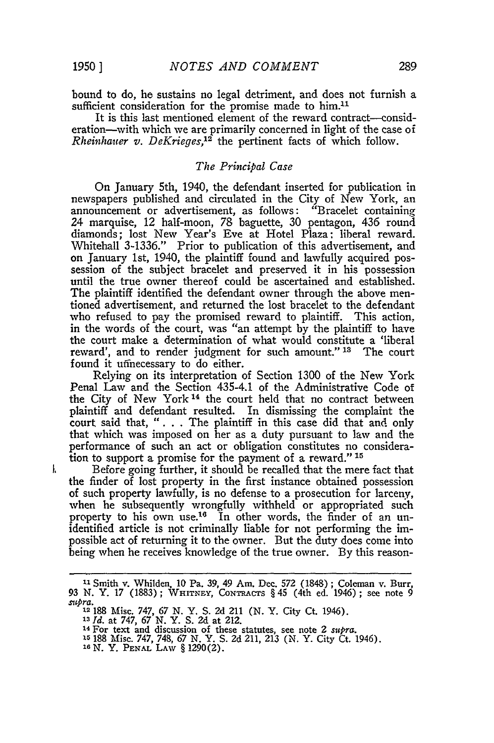ł.

bound to do, he sustains no legal detriment, and does not furnish a sufficient consideration for the promise made to him.<sup>11</sup>

It is this last mentioned element of the reward contract—consideration-with which we are primarily concerned in light of the case of *Rheinhauer v. DeKrieges,12* the pertinent facts of which follow.

## *The Principal Case*

On January 5th, 1940, the defendant inserted for publication in newspapers published and circulated in the City of New York, an announcement or advertisement, as follows: "Bracelet containing 24 marquise, 12 half-moon, 78 baguette, 30 pentagon, 436 round diamonds; lost New Year's Eve at Hotel Plaza: liberal reward. Whitehall 3-1336." Prior to publication of this advertisement, and on January 1st, 1940, the plaintiff found and lawfully acquired possession of the subject bracelet and preserved it in his possession until the true owner thereof could be ascertained and established. The plaintiff identified the defendant owner through the above mentioned advertisement, and returned the lost bracelet to the defendant who refused to pay the promised reward to plaintiff. This action, in the words of the court, was "an attempt by the plaintiff to have the court make a determination of what would constitute a 'liberal reward', and to render judgment for such amount." **13** The court found it uffnecessary to do either.

Relying on its interpretation of Section 1300 of the New York Penal Law and the Section 435-4.1 of the Administrative Code of the City of New York<sup>14</sup> the court held that no contract between plaintiff and defendant resulted. In dismissing the complaint the court said that, "... The plaintiff in this case did that and only that which was imposed on her as a duty pursuant to law and the performance of such an act or obligation constitutes no consideration to support a promise for the payment of a reward." **15**

Before going further, it should be recalled that the mere fact that the finder of lost property in the first instance obtained possession of such property lawfully, is no defense to a prosecution for larceny, when he subsequently wrongfully withheld or appropriated such property to his own use.<sup>16</sup> In other words, the finder of an unidentified article is not criminally liable for not performing the impossible act of returning it to the owner. But the duty does come into being when he receives knowledge of the true owner. By this reason-

**<sup>13</sup>***Id.* at **747,** 67 N. Y. S. **2d** at 212. **<sup>14</sup>**For text and discussion of these statutes, see note 2 *supra.*

**Is** 188 Misc. 747, 748, 67 N. Y. S. 2d 211, 213 (N. Y. City Ct. 1946). <sup>16</sup>**N.** Y. **PENAL** LAW § 1290(2).

**<sup>&</sup>quot;1** Smith v. Whilden, 10 Pa. 39, 49 Am. Dec. **572** (1848) ; Coleman v. Burr, 93 N. Y. 17 (1883); WHITNEY, CONTRACTS § 45 (4th ed. 1946); see note 9 *sup ra.* 12 188 Misc. 747, 67 **N.** Y. **S.** 2d 211 **(N.** Y. City Ct. 1946).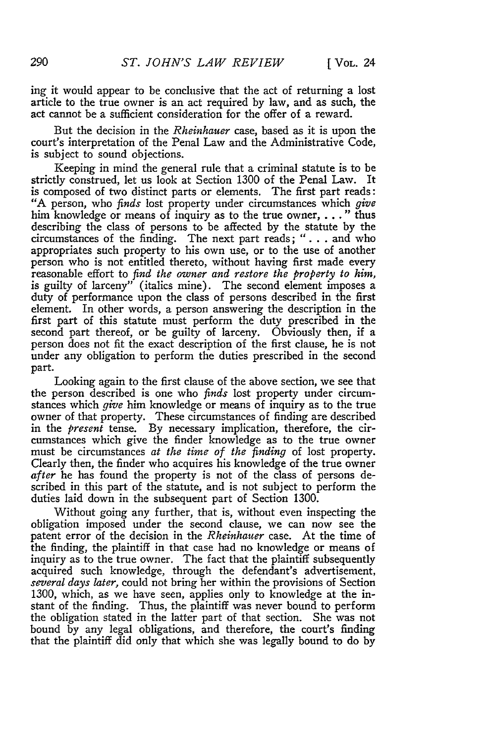ing it would appear to be conclusive that the act of returning a lost article to the true owner is an act required by law, and as such, the act cannot be a sufficient consideration for the offer of a reward.

But the decision in the *Rheinhauer* case, based as it is upon the court's interpretation of the Penal Law and the Administrative Code, is subject to sound objections.

Keeping in mind the general rule that a criminal statute is to be strictly construed, let us look at Section 1300 of the Penal Law. It is composed of two distinct parts or elements. The first part reads: "A person, who *finds* lost property under circumstances which *give* him knowledge or means of inquiry as to the true owner, . . **."** thus describing the class of persons to be affected by the statute by the circumstances of the finding. The next part reads; ". **.** . and who appropriates such property to his own use, or to the use of another person who is not entitled thereto, without having first made every reasonable effort to *find the owner and restore the property to him,* is guilty of larceny" (italics mine). The second element imposes a duty of performance upon the class of persons described in the first element. In other words, a person answering the description in the first part of this statute must perform the duty prescribed in the second part thereof, or be guilty of larceny. Obviously then, if a person does not fit the exact description of the first clause, he is not under any obligation to perform the duties prescribed in the second part.

Looking again to the first clause of the above section, we see that the person described is one who *finds* lost property under circumstances which *give* him knowledge or means of inquiry as to the true owner of that property. These circumstances of finding are described in the *present* tense. **By** necessary implication, therefore, the circumstances which give the finder knowledge as to the true owner must be circumstances *at the time of the finding* of lost property. Clearly then, the finder who acquires his knowledge of the true owner *after* he has found the property is not of the class of persons described in this part of the statute, and is not subject to perform the duties laid down in the subsequent part of Section 1300.

Without going any further, that is, without even inspecting the obligation imposed under the second clause, we can now see the patent error of the decision in the *Rheinhauer* case. At the time of the finding, the plaintiff in that case had no knowledge or means of inquiry as to the true owner. The fact that the plaintiff subsequently acquired such knowledge, through the defendant's advertisement, *several days later,* could not bring her within the provisions of Section 1300, which, as we have seen, applies only to knowledge at the instant of the finding. Thus, the plaintiff was never bound to perform the obligation stated in the latter part of that section. She was not bound **by** any legal obligations, and therefore, the court's finding that the plaintiff did only that which she was legally bound to do **by**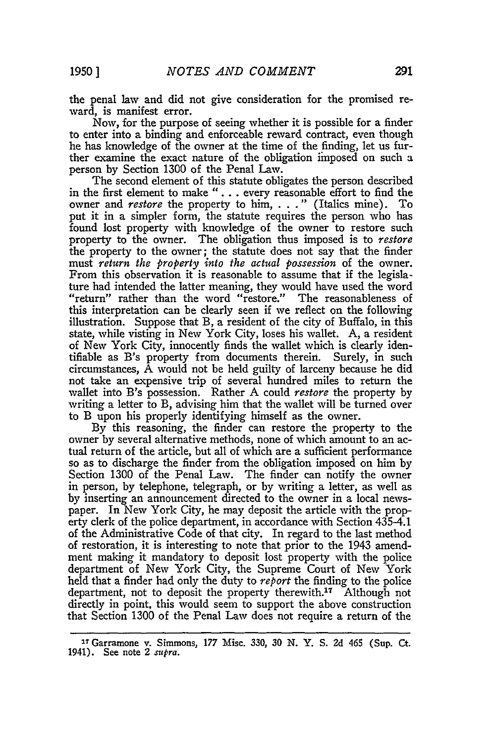the penal law and did not give consideration for the promised reward, is manifest error.

Now, for the purpose of seeing whether it is possible for a finder to enter into a binding and enforceable reward contract, even though he has knowledge of the owner at the time of the finding, let us further examine the exact nature of the obligation imposed on such a person by Section 1300 of the Penal Law.

The second element of this statute obligates the person described in the first element to make ". **.** . every reasonable effort to find the owner and *restore* the property to him, . . . " (Italics mine). To put it in a simpler form, the statute requires the person who has found lost property with knowledge of the owner to restore such property to the owner. The obligation thus imposed is to *restore* the property to the owner; the statute does not say that the finder must *return the property into the actual possession* of the owner. From this observation it is reasonable to assume that if the legislature had intended the latter meaning, they would have used the word "return" rather than the word "restore." The reasonableness of this interpretation can be clearly seen **if** we reflect on the following illustration. Suppose that B, a resident of the city of Buffalo, in this state, while visting in New York City, loses his wallet. A, a resident of New York City, innocently finds the wallet which is clearly identifiable as B's property from documents therein. Surely, in such circumstances, A would not be held guilty of larceny because he did not take an expensive trip of several hundred miles to return the wallet into B's possession. Rather A could *restore* the property **by** writing a letter to B, advising him that the wallet will be turned over to B upon his properly identifying himself as the owner.

**By** this reasoning, the finder can restore the property to the owner **by** several alternative methods, none of which amount to an actual return of the article, but all of which are a sufficient performance so as to discharge the finder from the obligation imposed on him **by** Section 1300 of the Penal Law. The finder can notify the owner in person, **by** telephone, telegraph, or **by** writing a letter, as well as **by** inserting an announcement directed to the owner in a local newspaper. In New York City, he may deposit the article with the property clerk of the police department, in accordance with Section 435-4.1 of the Administrative Code of that city. In regard to the last method of restoration, it is interesting to note that prior to the 1943 amendment making it mandatory to deposit lost property with the police department of New York City, the Supreme Court of New York held that a finder had only the duty to *report* the finding to the police department, not to deposit the property therewith.<sup>17</sup> Although not directly in point, this would seem to support the above construction that Section 1300 of the Penal Law does not require a return of the

**<sup>3.</sup>** Garramone v. Simmons, **177** Misc. **330, 30 N.** Y. **S. 2d** 465 (Sup. Ct. 1941). See note 2 supra.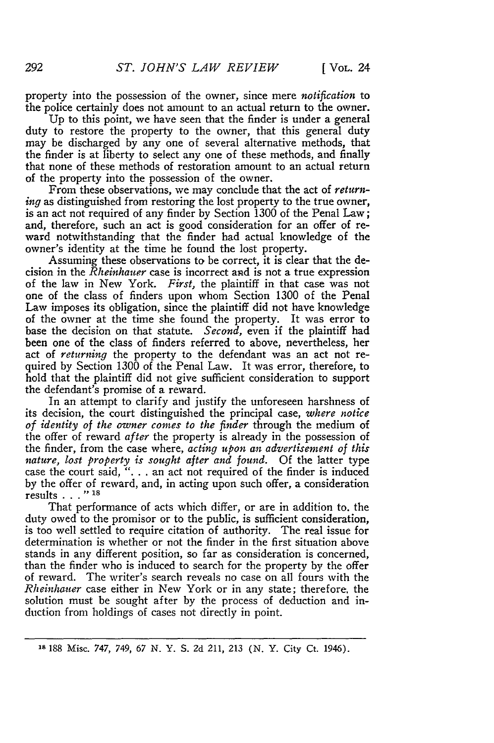property into the possession of the owner, since mere *notification* to the police certainly does not amount to an actual return to the owner.

Up to this point, we have seen that the finder is under a general duty to restore the property to the owner, that this general duty may be discharged by any one of several alternative methods, that the finder is at liberty to select any one of these methods, and finally that none of these methods of restoration amount to an actual return of the property into the possession of the owner.

From these observations, we may conclude that the act of *returning* as distinguished from restoring the lost property to the true owner, is an act not required of any finder by Section 1300 of the Penal Law; and, therefore, such an act is good consideration for an offer of reward notwithstanding that the finder had actual knowledge of the owner's identity at the time he found the lost property.

Assuming these observations to be correct, it is clear that the decision in the *Rheinhauer* case is incorrect and is not a true expression of the law in New York. *First,* the plaintiff in that case was not one of the class of finders upon whom Section 1300 of the Penal Law imposes its obligation, since the plaintiff did not have knowledge of the owner at the time she found the property. It was error to base the decision on that statute. *Second,* even if the plaintiff had been one of the class of finders referred to above, nevertheless, her act of *returning* the property to the defendant was an act not required by Section 1300 of the Penal Law. It was error, therefore, to hold that the plaintiff did not give sufficient consideration to support the defendant's promise of a reward.

In an attempt to clarify and justify the unforeseen harshness of its decision, the court distinguished the principal case, *where notice of identity of the owner comes to the finder* through the medium of the offer of reward *after* the property is already in the possession of the finder, from the case where, *acting upon an advertisement of this nature, lost property is sought after and found.* Of the latter type case the court said, ". **.** . an act not required of the finder is induced by the offer of reward, and, in acting upon such offer, a consideration results **. . .** " **18**

That performance of acts which differ, or are in addition to. the duty owed to the promisor or to the public, is sufficient consideration, is too well settled to require citation of authority. The real issue for determination is whether or not the finder in the first situation above stands in any different position, so far as consideration is concerned, than the finder who is induced to search for the property by the offer of reward. The writer's search reveals no case on all fours with the *Rheinhauer* case either in New York or in any state; therefore, the solution must be sought after by the process of deduction and induction from holdings of cases not directly in point.

**<sup>18</sup>**188 Misc. 747, 749, 67 N. Y. S. 2d 211, 213 (N. Y. City Ct. 1946).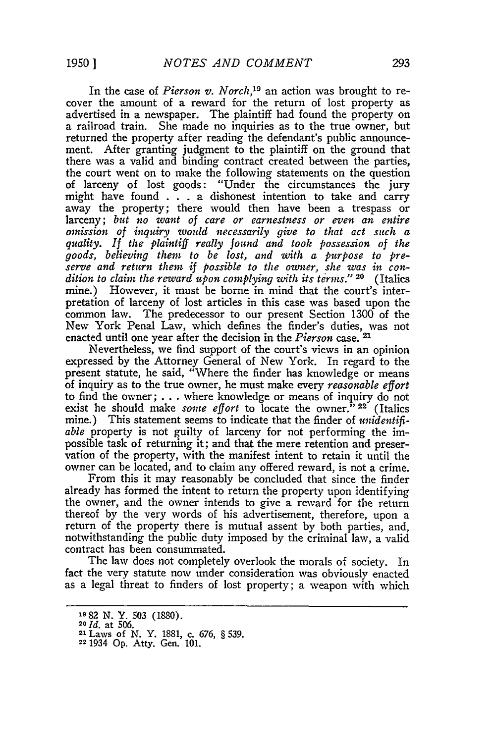In the case of *Pierson v. Norch,19* an action was brought to recover the amount of a reward for the return of lost property as advertised in a newspaper. The plaintiff had found the property on a railroad train. She made no inquiries as to the true owner, but returned the property after reading the defendant's public announcement. After granting judgment to the plaintiff on the ground that there was a valid and binding contract created between the parties, the court went on to make the following statements on the question of larceny of lost goods: "Under the circumstances the jury might have found . . . a dishonest intention to take and carry away the property; there would then have been a trespass or larceny; *but no want of care or earnestness or even an entire omission of inquiry would necessarily give to that act such a quality. If the plaintiff really found and took possession of the goods, believing them to be lost, and with a purpose to preserve and return them if possible to the owner, she was in condition to clain the reward upon complying with its terms."* **20** (Italics mine.) However, it must be borne in mind that the court's interpretation of larceny of lost articles in this case was based upon the common law. The predecessor to our present Section 1300 of the New York Penal Law, which defines the finder's duties, was not enacted until one year after the decision in the *Pierson* case. **<sup>21</sup>**

Nevertheless, we find support of the court's views in an opinion expressed by the Attorney General of New York. In regard to the present statute, he said, "Where the finder has knowledge or means of inquiry as to the true owner, he must make every *reasonable effort* to find the owner; . . .where knowledge or means of inquiry do not exist he should make *some effort* to locate the owner." **22** (Italics mine.) This statement seems to indicate that the finder of *unidentifiable* property is not guilty of larceny for not performing the impossible task of returning it; and that the mere retention and preservation of the property, with the manifest intent to retain it until the owner can be located, and to claim any offered reward, is not a crime.

From this it may reasonably be concluded that since the finder already has formed the intent to return the property upon identifying the owner, and the owner intends to give a reward for the return thereof by the very words of his advertisement, therefore, upon a return of the property there is mutual assent by both parties, and, notwithstanding the public duty imposed by the criminal law, a valid contract has been consummated.

The law does not completely overlook the morals of society. In fact the very statute now under consideration was obviously enacted as a legal threat to finders of lost property; a weapon with which

**<sup>1982</sup> N.** Y. 503 (1880).

**<sup>20</sup>***Id.* at 506.

**<sup>21</sup>**Laws of **N.** Y. 1881, c. 676, § **539. <sup>22</sup>**1934 Op. Atty. Gen. 101.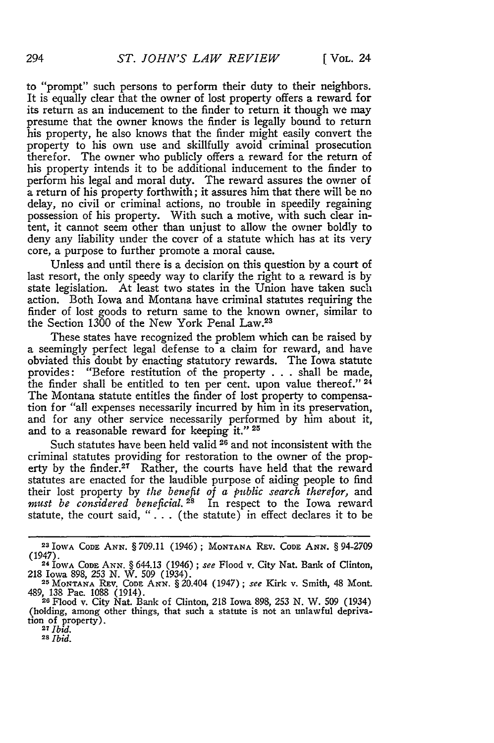to "prompt" such persons to perform their duty to their neighbors. It is equally clear that the owner of lost property offers a reward for its return as an inducement to the finder to return it though we may presume that the owner knows the finder is legally bound to return his property, he also knows that the finder might easily convert the property to his own use and skillfully avoid criminal prosecution therefor. The owner who publicly offers a reward for the return of his property intends it to be additional inducement to the finder to perform his legal and moral duty. The reward assures the owner of a return of his property forthwith; it assures him that there will be no delay, no civil or criminal actions, no trouble in speedily regaining possession of his property. With such a motive, with such clear intent, it cannot seem other than unjust to allow the owner boldly to deny any liability under the cover of a statute which has at its very core, a purpose to further promote a moral cause.

Unless and until there is a decision on this question **by** a court of last resort, the only speedy way to clarify the right to a reward is by state legislation. At least two states in the Union have taken such action. Both Iowa and Montana have criminal statutes requiring the finder of lost goods to return same to the known owner, similar to the Section 1300 of the New York Penal Law.<sup>23</sup>

These states have recognized the problem which can be raised **by** a seemingly perfect legal defense to a claim for reward, and have obviated this doubt **by** enacting statutory rewards. The Iowa statute provides: "Before restitution of the property **. . .** shall be made, the finder shall be entitled to ten per cent. upon value thereof." **24** The Montana statute entitles the finder of lost property to compensation for "all expenses necessarily incurred **by** him in its preservation, and for any other service necessarily performed **by** him about it, and to a reasonable reward for keeping it." 25

Such statutes have been held valid 26 and not inconsistent with the criminal statutes providing for restoration to the owner of the property by the finder.<sup>27</sup> Rather, the courts have held that the reward statutes are enacted for the laudible purpose of aiding people to find their lost property **by** *the benefit of a public search therefor,* and *must be considered beneficial. 28* In respect to the Iowa reward statute, the court said, " **. . .** (the statute) in effect declares it to be

*<sup>28</sup>Ibid.*

**<sup>23</sup>** IOWA CODE **ANN.** *§* 709.11 (1946); **MONTANA REV.** CODE **ANN.** § 94-2709 (1947). 24 IOWA CODE **ANN.** § 644.13 (1946) *; see* Flood v. City Nat. Bank of Clinton,

<sup>218</sup> Iowa 898, *253 N.* W. 509 (1934). **25 MONTANA** REv. **CODE** ANN. § 20.404 (1947) ; *see* Kirk v. Smith, 48 Mont.

<sup>489,</sup> **138** Pac. 1088 (1914). **<sup>26</sup>**Flood v. City Nat. Bank of Clinton, 218 Iowa 898, **253** N. W. **509** (1934)

<sup>(</sup>holding, among other things, that such a statute is not an unlawful depriva-**<sup>27</sup>***Ibid.*